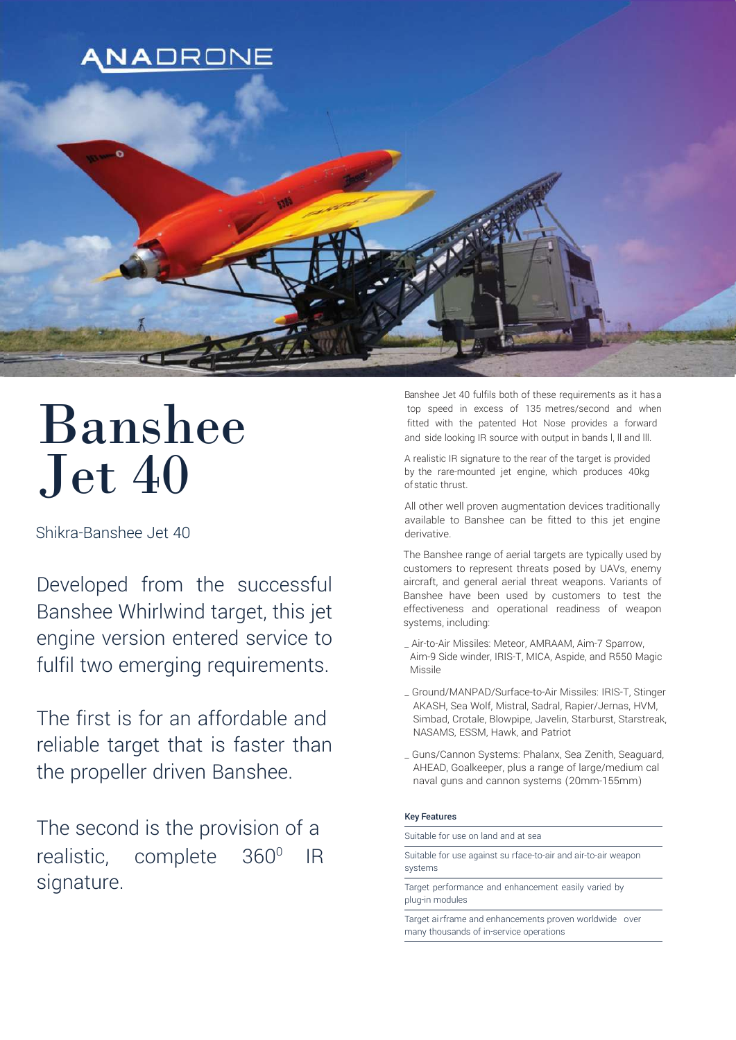

# Banshee Jet 40

Shikra-Banshee Jet 40

Developed from the successful Banshee Whirlwind target, this jet engine version entered service to fulfil two emerging requirements.

The first is for an affordable and reliable target that is faster than the propeller driven Banshee.

The second is the provision of a realistic, complete  $360^{\circ}$  IR signature.

Banshee Jet 40 fulfils both of these requirements as it hasa top speed in excess of 135 metres/second and when fitted with the patented Hot Nose provides a forward and side looking IR source with output in bands l, ll and lll.

A realistic IR signature to the rear of the target is provided by the rare-mounted jet engine, which produces 40kg ofstatic thrust.

All other well proven augmentation devices traditionally available to Banshee can be fitted to this jet engine derivative.

The Banshee range of aerial targets are typically used by customers to represent threats posed by UAVs, enemy aircraft, and general aerial threat weapons. Variants of Banshee have been used by customers to test the effectiveness and operational readiness of weapon systems, including:

- \_ Air-to-Air Missiles: Meteor, AMRAAM, Aim-7 Sparrow, Aim-9 Side winder, IRIS-T, MICA, Aspide, and R550 Magic Missile
- \_ Ground/MANPAD/Surface-to-Air Missiles: IRIS-T, Stinger AKASH, Sea Wolf, Mistral, Sadral, Rapier/Jernas, HVM, Simbad, Crotale, Blowpipe, Javelin, Starburst, Starstreak, NASAMS, ESSM, Hawk, and Patriot
- \_ Guns/Cannon Systems: Phalanx, Sea Zenith, Seaguard, AHEAD, Goalkeeper, plus a range of large/medium cal naval guns and cannon systems (20mm-155mm)

### Key Features

Suitable for use on land and at sea Suitable for use against su rface-to-air and air-to-air weapon systems

Target performance and enhancement easily varied by plug-in modules

Target ai rframe and enhancements proven worldwide over many thousands of in-service operations